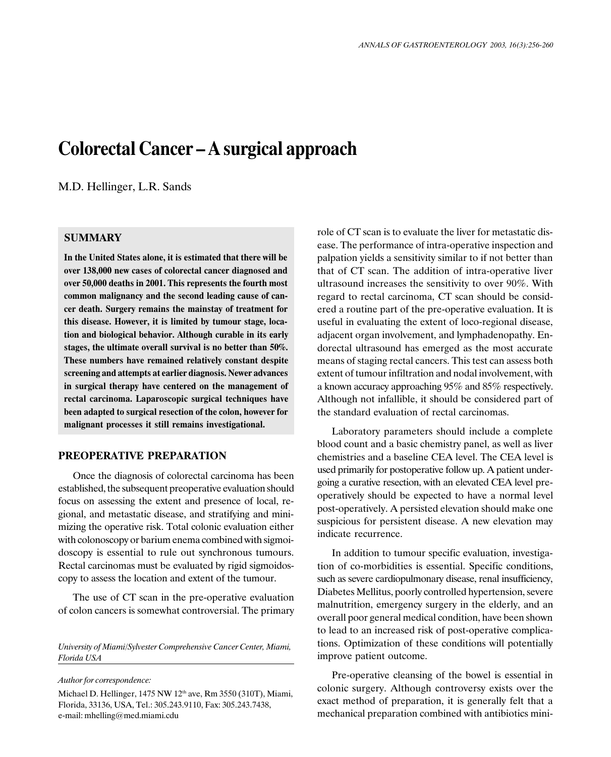# Colorectal Cancer – A surgical approach

M.D. Hellinger, L.R. Sands

### SUMMARY

In the United States alone, it is estimated that there will be over 138,000 new cases of colorectal cancer diagnosed and over 50,000 deaths in 2001. This represents the fourth most common malignancy and the second leading cause of cancer death. Surgery remains the mainstay of treatment for this disease. However, it is limited by tumour stage, location and biological behavior. Although curable in its early stages, the ultimate overall survival is no better than 50%. These numbers have remained relatively constant despite screening and attempts at earlier diagnosis. Newer advances in surgical therapy have centered on the management of rectal carcinoma. Laparoscopic surgical techniques have been adapted to surgical resection of the colon, however for malignant processes it still remains investigational.

#### PREOPERATIVE PREPARATION

Once the diagnosis of colorectal carcinoma has been established, the subsequent preoperative evaluation should focus on assessing the extent and presence of local, regional, and metastatic disease, and stratifying and minimizing the operative risk. Total colonic evaluation either with colonoscopy or barium enema combined with sigmoidoscopy is essential to rule out synchronous tumours. Rectal carcinomas must be evaluated by rigid sigmoidoscopy to assess the location and extent of the tumour.

The use of CT scan in the pre-operative evaluation of colon cancers is somewhat controversial. The primary

University of Miami/Sylvester Comprehensive Cancer Center, Miami, Florida USA

Author for correspondence:

Michael D. Hellinger, 1475 NW 12<sup>th</sup> ave, Rm 3550 (310T), Miami, Florida, 33136, USA, Tel.: 305.243.9110, Fax: 305.243.7438, e-mail: mhelling@med.miami.cdu

role of CT scan is to evaluate the liver for metastatic disease. The performance of intra-operative inspection and palpation yields a sensitivity similar to if not better than that of CT scan. The addition of intra-operative liver ultrasound increases the sensitivity to over 90%. With regard to rectal carcinoma, CT scan should be considered a routine part of the pre-operative evaluation. It is useful in evaluating the extent of loco-regional disease, adjacent organ involvement, and lymphadenopathy. Endorectal ultrasound has emerged as the most accurate means of staging rectal cancers. This test can assess both extent of tumour infiltration and nodal involvement, with a known accuracy approaching 95% and 85% respectively. Although not infallible, it should be considered part of the standard evaluation of rectal carcinomas.

Laboratory parameters should include a complete blood count and a basic chemistry panel, as well as liver chemistries and a baseline CEA level. The CEA level is used primarily for postoperative follow up. A patient undergoing a curative resection, with an elevated CEA level preoperatively should be expected to have a normal level post-operatively. A persisted elevation should make one suspicious for persistent disease. A new elevation may indicate recurrence.

In addition to tumour specific evaluation, investigation of co-morbidities is essential. Specific conditions, such as severe cardiopulmonary disease, renal insufficiency, Diabetes Mellitus, poorly controlled hypertension, severe malnutrition, emergency surgery in the elderly, and an overall poor general medical condition, have been shown to lead to an increased risk of post-operative complications. Optimization of these conditions will potentially improve patient outcome.

Pre-operative cleansing of the bowel is essential in colonic surgery. Although controversy exists over the exact method of preparation, it is generally felt that a mechanical preparation combined with antibiotics mini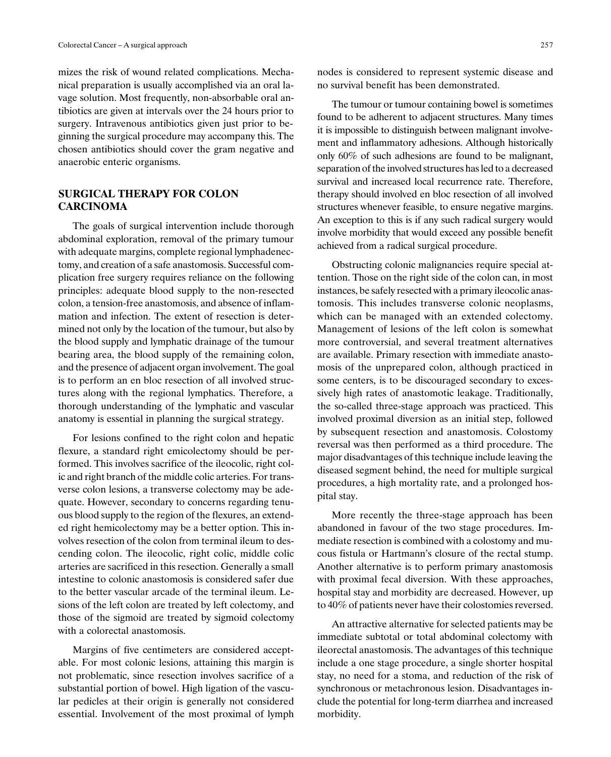mizes the risk of wound related complications. Mechanical preparation is usually accomplished via an oral lavage solution. Most frequently, non-absorbable oral antibiotics are given at intervals over the 24 hours prior to surgery. Intravenous antibiotics given just prior to beginning the surgical procedure may accompany this. The chosen antibiotics should cover the gram negative and anaerobic enteric organisms.

## SURGICAL THERAPY FOR COLON CARCINOMA

The goals of surgical intervention include thorough abdominal exploration, removal of the primary tumour with adequate margins, complete regional lymphadenectomy, and creation of a safe anastomosis. Successful complication free surgery requires reliance on the following principles: adequate blood supply to the non-resected colon, a tension-free anastomosis, and absence of inflammation and infection. The extent of resection is determined not only by the location of the tumour, but also by the blood supply and lymphatic drainage of the tumour bearing area, the blood supply of the remaining colon, and the presence of adjacent organ involvement. The goal is to perform an en bloc resection of all involved structures along with the regional lymphatics. Therefore, a thorough understanding of the lymphatic and vascular anatomy is essential in planning the surgical strategy.

For lesions confined to the right colon and hepatic flexure, a standard right emicolectomy should be performed. This involves sacrifice of the ileocolic, right colic and right branch of the middle colic arteries. For transverse colon lesions, a transverse colectomy may be adequate. However, secondary to concerns regarding tenuous blood supply to the region of the flexures, an extended right hemicolectomy may be a better option. This involves resection of the colon from terminal ileum to descending colon. The ileocolic, right colic, middle colic arteries are sacrificed in this resection. Generally a small intestine to colonic anastomosis is considered safer due to the better vascular arcade of the terminal ileum. Lesions of the left colon are treated by left colectomy, and those of the sigmoid are treated by sigmoid colectomy with a colorectal anastomosis.

Margins of five centimeters are considered acceptable. For most colonic lesions, attaining this margin is not problematic, since resection involves sacrifice of a substantial portion of bowel. High ligation of the vascular pedicles at their origin is generally not considered essential. Involvement of the most proximal of lymph

nodes is considered to represent systemic disease and no survival benefit has been demonstrated.

The tumour or tumour containing bowel is sometimes found to be adherent to adjacent structures. Many times it is impossible to distinguish between malignant involvement and inflammatory adhesions. Although historically only 60% of such adhesions are found to be malignant, separation of the involved structures has led to a decreased survival and increased local recurrence rate. Therefore, therapy should involved en bloc resection of all involved structures whenever feasible, to ensure negative margins. An exception to this is if any such radical surgery would involve morbidity that would exceed any possible benefit achieved from a radical surgical procedure.

Obstructing colonic malignancies require special attention. Those on the right side of the colon can, in most instances, be safely resected with a primary ileocolic anastomosis. This includes transverse colonic neoplasms, which can be managed with an extended colectomy. Management of lesions of the left colon is somewhat more controversial, and several treatment alternatives are available. Primary resection with immediate anastomosis of the unprepared colon, although practiced in some centers, is to be discouraged secondary to excessively high rates of anastomotic leakage. Traditionally, the so-called three-stage approach was practiced. This involved proximal diversion as an initial step, followed by subsequent resection and anastomosis. Colostomy reversal was then performed as a third procedure. The major disadvantages of this technique include leaving the diseased segment behind, the need for multiple surgical procedures, a high mortality rate, and a prolonged hospital stay.

More recently the three-stage approach has been abandoned in favour of the two stage procedures. Immediate resection is combined with a colostomy and mucous fistula or Hartmann's closure of the rectal stump. Another alternative is to perform primary anastomosis with proximal fecal diversion. With these approaches, hospital stay and morbidity are decreased. However, up to 40% of patients never have their colostomies reversed.

An attractive alternative for selected patients may be immediate subtotal or total abdominal colectomy with ileorectal anastomosis. The advantages of this technique include a one stage procedure, a single shorter hospital stay, no need for a stoma, and reduction of the risk of synchronous or metachronous lesion. Disadvantages include the potential for long-term diarrhea and increased morbidity.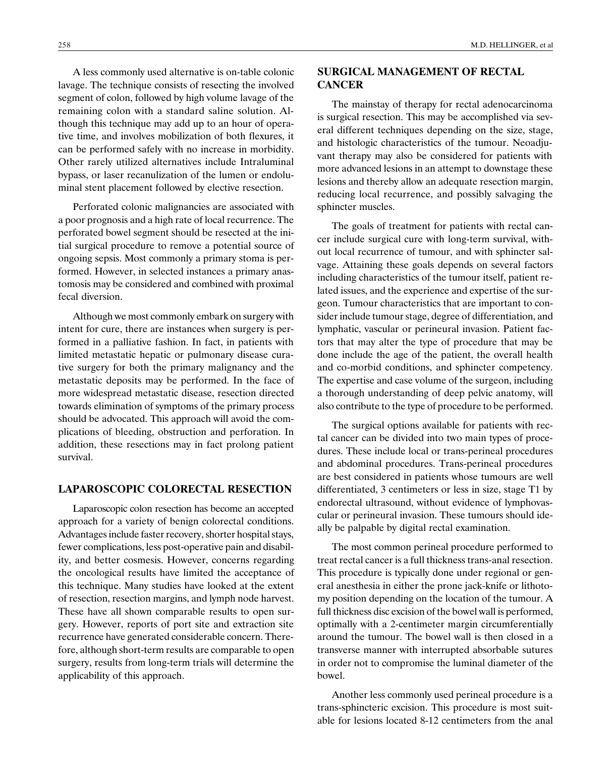A less commonly used alternative is on-table colonic lavage. The technique consists of resecting the involved segment of colon, followed by high volume lavage of the remaining colon with a standard saline solution. Although this technique may add up to an hour of operative time, and involves mobilization of both flexures, it can be performed safely with no increase in morbidity. Other rarely utilized alternatives include Intraluminal bypass, or laser recanulization of the lumen or endoluminal stent placement followed by elective resection.

Perforated colonic malignancies are associated with a poor prognosis and a high rate of local recurrence. The perforated bowel segment should be resected at the initial surgical procedure to remove a potential source of ongoing sepsis. Most commonly a primary stoma is performed. However, in selected instances a primary anastomosis may be considered and combined with proximal fecal diversion.

Although we most commonly embark on surgery with intent for cure, there are instances when surgery is performed in a palliative fashion. In fact, in patients with limited metastatic hepatic or pulmonary disease curative surgery for both the primary malignancy and the metastatic deposits may be performed. In the face of more widespread metastatic disease, resection directed towards elimination of symptoms of the primary process should be advocated. This approach will avoid the complications of bleeding, obstruction and perforation. In addition, these resections may in fact prolong patient survival.

#### LAPAROSCOPIC COLORECTAL RESECTION

Laparoscopic colon resection has become an accepted approach for a variety of benign colorectal conditions. Advantages include faster recovery, shorter hospital stays, fewer complications, less post-operative pain and disability, and better cosmesis. However, concerns regarding the oncological results have limited the acceptance of this technique. Many studies have looked at the extent of resection, resection margins, and lymph node harvest. These have all shown comparable results to open surgery. However, reports of port site and extraction site recurrence have generated considerable concern. Therefore, although short-term results are comparable to open surgery, results from long-term trials will determine the applicability of this approach.

## SURGICAL MANAGEMENT OF RECTAL **CANCER**

The mainstay of therapy for rectal adenocarcinoma is surgical resection. This may be accomplished via several different techniques depending on the size, stage, and histologic characteristics of the tumour. Neoadjuvant therapy may also be considered for patients with more advanced lesions in an attempt to downstage these lesions and thereby allow an adequate resection margin, reducing local recurrence, and possibly salvaging the sphincter muscles.

The goals of treatment for patients with rectal cancer include surgical cure with long-term survival, without local recurrence of tumour, and with sphincter salvage. Attaining these goals depends on several factors including characteristics of the tumour itself, patient related issues, and the experience and expertise of the surgeon. Tumour characteristics that are important to consider include tumour stage, degree of differentiation, and lymphatic, vascular or perineural invasion. Patient factors that may alter the type of procedure that may be done include the age of the patient, the overall health and co-morbid conditions, and sphincter competency. The expertise and case volume of the surgeon, including a thorough understanding of deep pelvic anatomy, will also contribute to the type of procedure to be performed.

The surgical options available for patients with rectal cancer can be divided into two main types of procedures. These include local or trans-perineal procedures and abdominal procedures. Trans-perineal procedures are best considered in patients whose tumours are well differentiated, 3 centimeters or less in size, stage T1 by endorectal ultrasound, without evidence of lymphovascular or perineural invasion. These tumours should ideally be palpable by digital rectal examination.

The most common perineal procedure performed to treat rectal cancer is a full thickness trans-anal resection. This procedure is typically done under regional or general anesthesia in either the prone jack-knife or lithotomy position depending on the location of the tumour. A full thickness disc excision of the bowel wall is performed, optimally with a 2-centimeter margin circumferentially around the tumour. The bowel wall is then closed in a transverse manner with interrupted absorbable sutures in order not to compromise the luminal diameter of the bowel.

Another less commonly used perineal procedure is a trans-sphincteric excision. This procedure is most suitable for lesions located 8-12 centimeters from the anal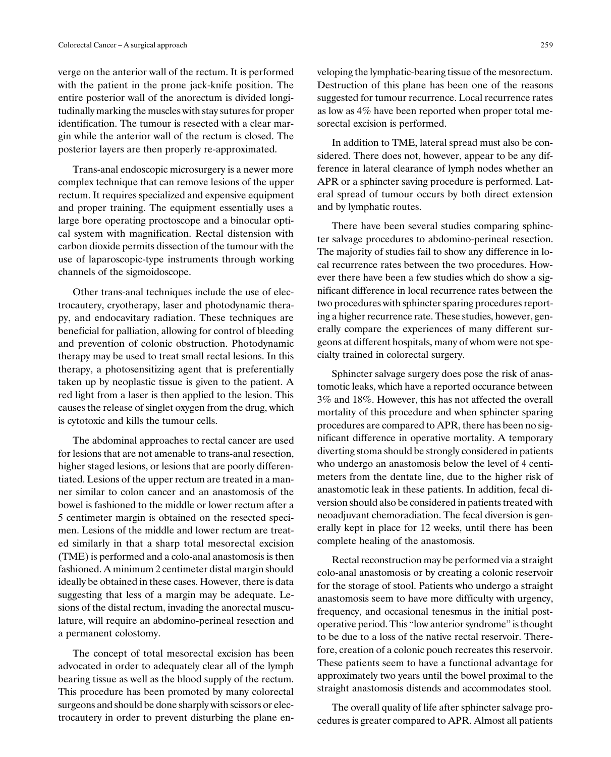verge on the anterior wall of the rectum. It is performed with the patient in the prone jack-knife position. The entire posterior wall of the anorectum is divided longitudinally marking the muscles with stay sutures for proper identification. The tumour is resected with a clear margin while the anterior wall of the rectum is closed. The posterior layers are then properly re-approximated.

Trans-anal endoscopic microsurgery is a newer more complex technique that can remove lesions of the upper rectum. It requires specialized and expensive equipment and proper training. The equipment essentially uses a large bore operating proctoscope and a binocular optical system with magnification. Rectal distension with carbon dioxide permits dissection of the tumour with the use of laparoscopic-type instruments through working channels of the sigmoidoscope.

Other trans-anal techniques include the use of electrocautery, cryotherapy, laser and photodynamic therapy, and endocavitary radiation. These techniques are beneficial for palliation, allowing for control of bleeding and prevention of colonic obstruction. Photodynamic therapy may be used to treat small rectal lesions. In this therapy, a photosensitizing agent that is preferentially taken up by neoplastic tissue is given to the patient. A red light from a laser is then applied to the lesion. This causes the release of singlet oxygen from the drug, which is cytotoxic and kills the tumour cells.

The abdominal approaches to rectal cancer are used for lesions that are not amenable to trans-anal resection, higher staged lesions, or lesions that are poorly differentiated. Lesions of the upper rectum are treated in a manner similar to colon cancer and an anastomosis of the bowel is fashioned to the middle or lower rectum after a 5 centimeter margin is obtained on the resected specimen. Lesions of the middle and lower rectum are treated similarly in that a sharp total mesorectal excision (TME) is performed and a colo-anal anastomosis is then fashioned. A minimum 2 centimeter distal margin should ideally be obtained in these cases. However, there is data suggesting that less of a margin may be adequate. Lesions of the distal rectum, invading the anorectal musculature, will require an abdomino-perineal resection and a permanent colostomy.

The concept of total mesorectal excision has been advocated in order to adequately clear all of the lymph bearing tissue as well as the blood supply of the rectum. This procedure has been promoted by many colorectal surgeons and should be done sharply with scissors or electrocautery in order to prevent disturbing the plane enveloping the lymphatic-bearing tissue of the mesorectum. Destruction of this plane has been one of the reasons suggested for tumour recurrence. Local recurrence rates as low as 4% have been reported when proper total mesorectal excision is performed.

In addition to TME, lateral spread must also be considered. There does not, however, appear to be any difference in lateral clearance of lymph nodes whether an APR or a sphincter saving procedure is performed. Lateral spread of tumour occurs by both direct extension and by lymphatic routes.

There have been several studies comparing sphincter salvage procedures to abdomino-perineal resection. The majority of studies fail to show any difference in local recurrence rates between the two procedures. However there have been a few studies which do show a significant difference in local recurrence rates between the two procedures with sphincter sparing procedures reporting a higher recurrence rate. These studies, however, generally compare the experiences of many different surgeons at different hospitals, many of whom were not specialty trained in colorectal surgery.

Sphincter salvage surgery does pose the risk of anastomotic leaks, which have a reported occurance between 3% and 18%. However, this has not affected the overall mortality of this procedure and when sphincter sparing procedures are compared to APR, there has been no significant difference in operative mortality. A temporary diverting stoma should be strongly considered in patients who undergo an anastomosis below the level of 4 centimeters from the dentate line, due to the higher risk of anastomotic leak in these patients. In addition, fecal diversion should also be considered in patients treated with neoadjuvant chemoradiation. The fecal diversion is generally kept in place for 12 weeks, until there has been complete healing of the anastomosis.

Rectal reconstruction may be performed via a straight colo-anal anastomosis or by creating a colonic reservoir for the storage of stool. Patients who undergo a straight anastomosis seem to have more difficulty with urgency, frequency, and occasional tenesmus in the initial postoperative period. This "low anterior syndrome" is thought to be due to a loss of the native rectal reservoir. Therefore, creation of a colonic pouch recreates this reservoir. These patients seem to have a functional advantage for approximately two years until the bowel proximal to the straight anastomosis distends and accommodates stool.

The overall quality of life after sphincter salvage procedures is greater compared to APR. Almost all patients